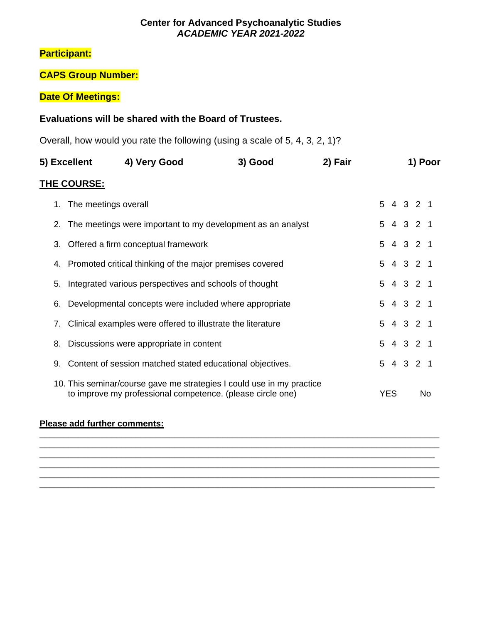### **Center for Advanced Psychoanalytic Studies** *ACADEMIC YEAR 2021-2022*

# **Participant:**

# **CAPS Group Number:**

# **Date Of Meetings:**

### **Evaluations will be shared with the Board of Trustees.**

Overall, how would you rate the following (using a scale of 5, 4, 3, 2, 1)?

| 5) Excellent |                                                                | 4) Very Good                                                                                                                        | 3) Good | 2) Fair                                                                                                                      |  |            |  |  |    |  |
|--------------|----------------------------------------------------------------|-------------------------------------------------------------------------------------------------------------------------------------|---------|------------------------------------------------------------------------------------------------------------------------------|--|------------|--|--|----|--|
|              | THE COURSE:                                                    |                                                                                                                                     |         | 1) Poor<br>5 4 3 2 1<br>5 4 3 2 1<br>5 4 3 2 1<br>5 4 3 2 1<br>5 4 3 2 1<br>5 4 3 2 1<br>5 4 3 2 1<br>5 4 3 2 1<br>5 4 3 2 1 |  |            |  |  |    |  |
|              | 1. The meetings overall                                        |                                                                                                                                     |         |                                                                                                                              |  |            |  |  |    |  |
|              | 2. The meetings were important to my development as an analyst |                                                                                                                                     |         |                                                                                                                              |  |            |  |  |    |  |
|              | 3. Offered a firm conceptual framework                         |                                                                                                                                     |         |                                                                                                                              |  |            |  |  |    |  |
|              | 4. Promoted critical thinking of the major premises covered    |                                                                                                                                     |         |                                                                                                                              |  |            |  |  |    |  |
| 5.           |                                                                | Integrated various perspectives and schools of thought                                                                              |         |                                                                                                                              |  |            |  |  |    |  |
| 6.           |                                                                | Developmental concepts were included where appropriate                                                                              |         |                                                                                                                              |  |            |  |  |    |  |
| 7.           |                                                                | Clinical examples were offered to illustrate the literature                                                                         |         |                                                                                                                              |  |            |  |  |    |  |
|              |                                                                | 8. Discussions were appropriate in content                                                                                          |         |                                                                                                                              |  |            |  |  |    |  |
|              |                                                                | 9. Content of session matched stated educational objectives.                                                                        |         |                                                                                                                              |  |            |  |  |    |  |
|              |                                                                | 10. This seminar/course gave me strategies I could use in my practice<br>to improve my professional competence. (please circle one) |         |                                                                                                                              |  | <b>YES</b> |  |  | No |  |

\_\_\_\_\_\_\_\_\_\_\_\_\_\_\_\_\_\_\_\_\_\_\_\_\_\_\_\_\_\_\_\_\_\_\_\_\_\_\_\_\_\_\_\_\_\_\_\_\_\_\_\_\_\_\_\_\_\_\_\_\_\_\_\_\_\_\_\_\_\_\_\_\_\_\_\_\_\_\_\_\_\_\_ \_\_\_\_\_\_\_\_\_\_\_\_\_\_\_\_\_\_\_\_\_\_\_\_\_\_\_\_\_\_\_\_\_\_\_\_\_\_\_\_\_\_\_\_\_\_\_\_\_\_\_\_\_\_\_\_\_\_\_\_\_\_\_\_\_\_\_\_\_\_\_\_\_\_\_\_\_\_\_\_\_\_\_

\_\_\_\_\_\_\_\_\_\_\_\_\_\_\_\_\_\_\_\_\_\_\_\_\_\_\_\_\_\_\_\_\_\_\_\_\_\_\_\_\_\_\_\_\_\_\_\_\_\_\_\_\_\_\_\_\_\_\_\_\_\_\_\_\_\_\_\_\_\_\_\_\_\_\_\_\_\_\_\_\_\_\_ \_\_\_\_\_\_\_\_\_\_\_\_\_\_\_\_\_\_\_\_\_\_\_\_\_\_\_\_\_\_\_\_\_\_\_\_\_\_\_\_\_\_\_\_\_\_\_\_\_\_\_\_\_\_\_\_\_\_\_\_\_\_\_\_\_\_\_\_\_\_\_\_\_\_\_\_\_\_\_\_\_\_\_ \_\_\_\_\_\_\_\_\_\_\_\_\_\_\_\_\_\_\_\_\_\_\_\_\_\_\_\_\_\_\_\_\_\_\_\_\_\_\_\_\_\_\_\_\_\_\_\_\_\_\_\_\_\_\_\_\_\_\_\_\_\_\_\_\_\_\_\_\_\_\_\_\_\_\_\_\_\_\_\_\_\_

#### **Please add further comments:**